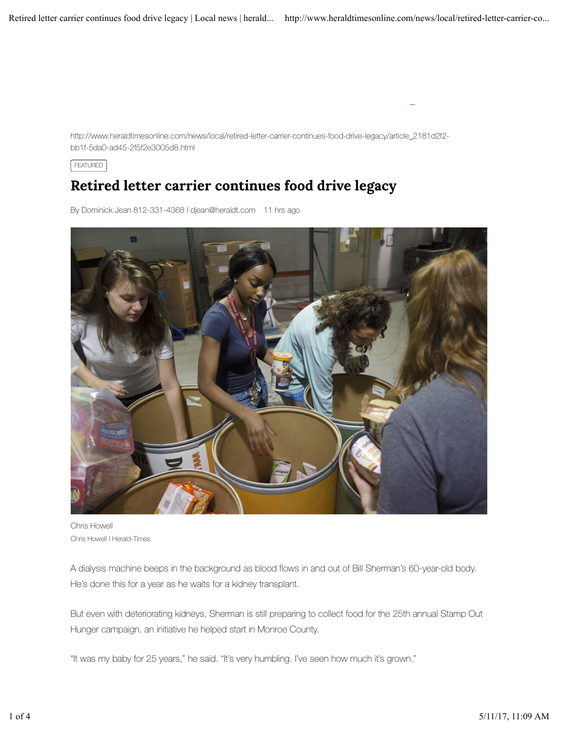http://www.heraldtimesonline.com/news/local/retired-letter-carrier-continues-food-drive-legacy/article\_2181d2f2 bb1f-5da0-ad45-2f5f2e3005d8.html

FEATURED

## Retired letter carrier continues food drive legacy

By Dominick Jean 812-331-4368 | djean@heraldt.com 11 hrs ago



Chris Howell Chris Howell | Herald-Times

A dialysis machine beeps in the background as blood flows in and out of Bill Sherman's 60-year-old body. He's done this for a year as he waits for a kidney transplant.

But even with deteriorating kidneys, Sherman is still preparing to collect food for the 25th annual Stamp Out Hunger campaign, an initiative he helped start in Monroe County.

"It was my baby for 25 years," he said. "It's very humbling. I've seen how much it's grown."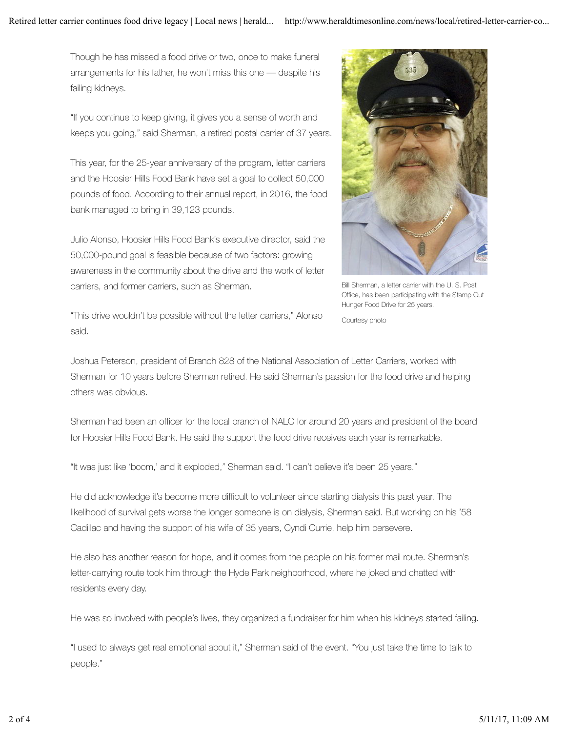Though he has missed a food drive or two, once to make funeral arrangements for his father, he won't miss this one — despite his failing kidneys.

"If you continue to keep giving, it gives you a sense of worth and keeps you going," said Sherman, a retired postal carrier of 37 years.

This year, for the 25-year anniversary of the program, letter carriers and the Hoosier Hills Food Bank have set a goal to collect 50,000 pounds of food. According to their annual report, in 2016, the food bank managed to bring in 39,123 pounds.

Julio Alonso, Hoosier Hills Food Bank's executive director, said the 50,000-pound goal is feasible because of two factors: growing awareness in the community about the drive and the work of letter carriers, and former carriers, such as Sherman.



Bill Sherman, a letter carrier with the U. S. Post Office, has been participating with the Stamp Out Hunger Food Drive for 25 years.

Courtesy photo

"This drive wouldn't be possible without the letter carriers," Alonso said.

Joshua Peterson, president of Branch 828 of the National Association of Letter Carriers, worked with Sherman for 10 years before Sherman retired. He said Sherman's passion for the food drive and helping others was obvious.

Sherman had been an officer for the local branch of NALC for around 20 years and president of the board for Hoosier Hills Food Bank. He said the support the food drive receives each year is remarkable.

"It was just like 'boom,' and it exploded," Sherman said. "I can't believe it's been 25 years."

He did acknowledge it's become more difficult to volunteer since starting dialysis this past year. The likelihood of survival gets worse the longer someone is on dialysis, Sherman said. But working on his '58 Cadillac and having the support of his wife of 35 years, Cyndi Currie, help him persevere.

He also has another reason for hope, and it comes from the people on his former mail route. Sherman's letter-carrying route took him through the Hyde Park neighborhood, where he joked and chatted with residents every day.

He was so involved with people's lives, they organized a fundraiser for him when his kidneys started failing.

"I used to always get real emotional about it," Sherman said of the event. "You just take the time to talk to people."